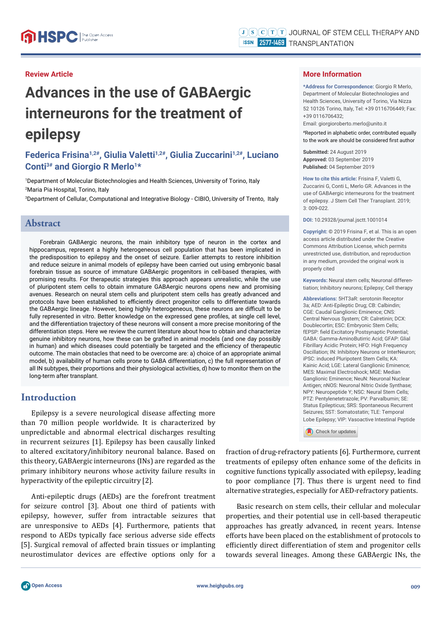## **Review Article**

# **Advances in the use of GABAergic interneurons for the treatment of epilepsy**

## **Federica Frisina1,2#, Giulia Valetti1,2#, Giulia Zuccarini1,2#, Luciano Conti3# and Giorgio R Merlo1\***

1 Department of Molecular Biotechnologies and Health Sciences, University of Torino, Italy 2 Maria Pia Hospital, Torino, Italy

3 Department of Cellular, Computational and Integrative Biology - CIBIO, University of Trento, Italy

## **Abstract**

Forebrain GABAergic neurons, the main inhibitory type of neuron in the cortex and hippocampus, represent a highly heterogeneous cell population that has been implicated in the predisposition to epilepsy and the onset of seizure. Earlier attempts to restore inhibition and reduce seizure in animal models of epilepsy have been carried out using embryonic basal forebrain tissue as source of immature GABAergic progenitors in cell-based therapies, with promising results. For therapeutic strategies this approach appears unrealistic, while the use of pluripotent stem cells to obtain immature GABAergic neurons opens new and promising avenues. Research on neural stem cells and pluripotent stem cells has greatly advanced and protocols have been established to efficiently direct progenitor cells to differentiate towards the GABAergic lineage. However, being highly heterogeneous, these neurons are difficult to be fully represented in vitro. Better knowledge on the expressed gene profiles, at single cell level, and the differentiation trajectory of these neurons will consent a more precise monitoring of the differentiation steps. Here we review the current literature about how to obtain and characterize genuine inhibitory neurons, how these can be grafted in animal models (and one day possibly in human) and which diseases could potentially be targeted and the efficiency of therapeutic outcome. The main obstacles that need to be overcome are: a) choice of an appropriate animal model, b) availability of human cells prone to GABA differentiation, c) the full representation of all IN subtypes, their proportions and their physiological activities, d) how to monitor them on the long-term after transplant.

## **Introduction**

Epilepsy is a severe neurological disease affecting more than 70 million people worldwide. It is characterized by unpredictable and abnormal electrical discharges resulting in recurrent seizures [1]. Epilepsy has been causally linked to altered excitatory/inhibitory neuronal balance. Based on this theory, GABAergic interneurons (INs) are regarded as the primary inhibitory neurons whose activity failure results in hyperactivity of the epileptic circuitry [2].

Anti-epileptic drugs (AEDs) are the forefront treatment for seizure control [3]. About one third of patients with epilepsy, however, suffer from intractable seizures that are unresponsive to AEDs [4]. Furthermore, patients that respond to AEDs typically face serious adverse side effects [5]. Surgical removal of affected brain tissues or implanting neurostimulator devices are effective options only for a

### **More Information**

**\*Address for Correspondence:** Giorgio R Merlo, Department of Molecular Biotechnologies and Health Sciences, University of Torino, Via Nizza 52 10126 Torino, Italy, Tel: +39 0116706449; Fax: +39 0116706432;

Email: giorgioroberto.merlo@unito.it

#Reported in alphabetic order, contributed equally to the work are should be considered first author

**Submitted:** 24 August 2019 **Approved:** 03 September 2019 **Published:** 04 September 2019

**How to cite this article:** Frisina F, Valetti G, Zuccarini G, Conti L, Merlo GR. Advances in the use of GABAergic interneurons for the treatment of epilepsy. J Stem Cell Ther Transplant. 2019; 3: 009-022.

**DOI:** 10.29328/journal.jsctt.1001014

**Copyright: ©** 2019 Frisina F, et al. This is an open access article distributed under the Creative Commons Attribution License, which permits unrestricted use, distribution, and reproduction in any medium, provided the original work is properly cited

**Keywords:** Neural stem cells; Neuronal differentiation; Inhibitory neurons; Epilepsy; Cell therapy

**Abbreviations:** 5HT3aR: serotonin Receptor 3a; AED: Anti-Epileptic Drug; CB: Calbindin; CGE: Caudal Ganglionic Eminence; CNS: Central Nervous System; CR: Calretinin; DCX: Doublecortin; ESC: Embryonic Stem Cells; fEPSP: field Excitatory Postsynaptic Potential; GABA: Gamma-AminoButirric Acid; GFAP: Glial Fibrillary Acidic Protein; HFO: High Frequency Oscillation; IN: Inhibitory Neurons or InterNeuron; iPSC: induced Pluripotent Stem Cells; KA: Kainic Acid; LGE: Lateral Ganglionic Eminence; MES: Maximal Electroshock; MGE: Median Ganglionic Eminence; NeuN: Neuronal Nuclear Antigen; nNOS: Neuronal Nitric Oxide Synthase; NPY: Neuropeptide Y; NSC: Neural Stem Cells; PTZ: Pentylenetetrazole; PV: Parvalbumin; SE: Status Epilepticus; SRS: Spontaneous Recurrent Seizures; SST: Somatostatin; TLE: Temporal Lobe Epilepsy; VIP: Vasoactive Intestinal Peptide

Check for updates

fraction of drug-refractory patients [6]. Furthermore, current treatments of epilepsy often enhance some of the deficits in cognitive functions typically associated with epilepsy, leading to poor compliance  $[7]$ . Thus there is urgent need to find alternative strategies, especially for AED-refractory patients.

Basic research on stem cells, their cellular and molecular properties, and their potential use in cell-based therapeutic approaches has greatly advanced, in recent years. Intense efforts have been placed on the establishment of protocols to efficiently direct differentiation of stem and progenitor cells towards several lineages. Among these GABAergic INs, the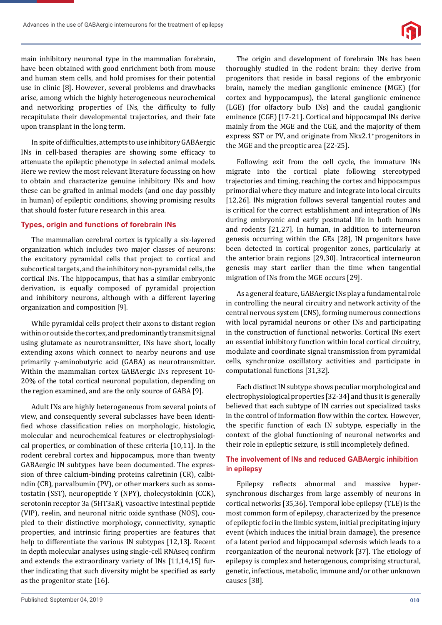main inhibitory neuronal type in the mammalian forebrain, have been obtained with good enrichment both from mouse and human stem cells, and hold promises for their potential use in clinic [8]. However, several problems and drawbacks arise, among which the highly heterogeneous neurochemical and networking properties of INs, the difficulty to fully recapitulate their developmental trajectories, and their fate upon transplant in the long term.

In spite of difficulties, attempts to use inhibitory GABAergic INs in cell-based therapies are showing some efficacy to attenuate the epileptic phenotype in selected animal models. Here we review the most relevant literature focussing on how to obtain and characterize genuine inhibitory INs and how these can be grafted in animal models (and one day possibly in human) of epileptic conditions, showing promising results that should foster future research in this area.

#### **Types, origin and functions of forebrain INs**

The mammalian cerebral cortex is typically a six-layered organization which includes two major classes of neurons: the excitatory pyramidal cells that project to cortical and subcortical targets, and the inhibitory non-pyramidal cells, the cortical INs. The hippocampus, that has a similar embryonic derivation, is equally composed of pyramidal projection and inhibitory neurons, although with a different layering organization and composition [9].

While pyramidal cells project their axons to distant region within or outside the cortex, and predominantly transmit signal using glutamate as neurotransmitter, INs have short, locally extending axons which connect to nearby neurons and use primarily  $\gamma$ -aminobutyric acid (GABA) as neurotransmitter. Within the mammalian cortex GABAergic INs represent 10- 20% of the total cortical neuronal population, depending on the region examined, and are the only source of GABA [9].

Adult INs are highly heterogeneous from several points of view, and consequently several subclasses have been identified whose classification relies on morphologic, histologic, molecular and neurochemical features or electrophysiological properties, or combination of these criteria [10,11]. In the rodent cerebral cortex and hippocampus, more than twenty GABAergic IN subtypes have been documented. The expression of three calcium-binding proteins calretinin (CR), calbindin (CB), parvalbumin (PV), or other markers such as somatostatin (SST), neuropeptide Y (NPY), cholecystokinin (CCK), serotonin receptor 3a (5HT3aR), vasoactive intestinal peptide (VIP), reelin, and neuronal nitric oxide synthase (NOS), coupled to their distinctive morphology, connectivity, synaptic properties, and intrinsic firing properties are features that help to differentiate the various IN subtypes [12,13]. Recent in depth molecular analyses using single-cell RNAseq confirm and extends the extraordinary variety of INs [11,14,15] further indicating that such diversity might be specified as early as the progenitor state [16].

The origin and development of forebrain INs has been thoroughly studied in the rodent brain: they derive from progenitors that reside in basal regions of the embryonic brain, namely the median ganglionic eminence (MGE) (for cortex and hyppocampus), the lateral ganglionic eminence (LGE) (for olfactory bulb INs) and the caudal ganglionic eminence (CGE) [17-21]. Cortical and hippocampal INs derive mainly from the MGE and the CGE, and the majority of them express SST or PV, and originate from Nkx2.1<sup>+</sup> progenitors in the MGE and the preoptic area [22-25].

Following exit from the cell cycle, the immature INs migrate into the cortical plate following stereotyped trajectories and timing, reaching the cortex and hippocampus primordial where they mature and integrate into local circuits [12,26]. INs migration follows several tangential routes and is critical for the correct establishment and integration of INs during embryonic and early postnatal life in both humans and rodents [21,27]. In human, in addition to interneuron genesis occurring within the GEs [28], IN progenitors have been detected in cortical progenitor zones, particularly at the anterior brain regions [29,30]. Intracortical interneuron genesis may start earlier than the time when tangential migration of INs from the MGE occurs [29].

As a general feature, GABAergic INs play a fundamental role in controlling the neural circuitry and network activity of the central nervous system (CNS), forming numerous connections with local pyramidal neurons or other INs and participating in the construction of functional networks. Cortical INs exert an essential inhibitory function within local cortical circuitry, modulate and coordinate signal transmission from pyramidal cells, synchronize oscillatory activities and participate in computational functions [31,32].

Each distinct IN subtype shows peculiar morphological and electrophysiological properties [32-34] and thus it is generally believed that each subtype of IN carries out specialized tasks in the control of information flow within the cortex. However, the specific function of each IN subtype, especially in the context of the global functioning of neuronal networks and their role in epileptic seizure, is still incompletely defined.

## **The involvement of INs and reduced GABAergic inhibition in epilepsy**

Epilepsy reflects abnormal and massive hypersynchronous discharges from large assembly of neurons in cortical networks [35,36]. Temporal lobe epilepsy (TLE) is the most common form of epilepsy, characterized by the presence of epileptic foci in the limbic system, initial precipitating injury event (which induces the initial brain damage), the presence of a latent period and hippocampal sclerosis which leads to a reorganization of the neuronal network [37]. The etiology of epilepsy is complex and heterogenous, comprising structural, genetic, infectious, metabolic, immune and/or other unknown causes [38].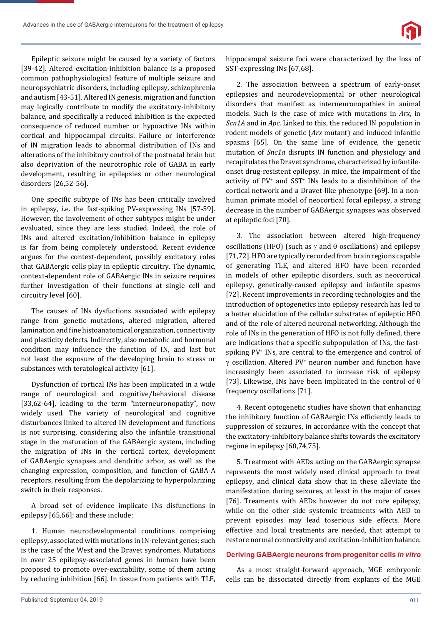Epileptic seizure might be caused by a variety of factors [39-42]. Altered excitation-inhibition balance is a proposed common pathophysiological feature of multiple seizure and neuropsychiatric disorders, including epilepsy, schizophrenia and autism [43-51]. Altered IN genesis, migration and function may logically contribute to modify the excitatory-inhibitory balance, and specifically a reduced inhibition is the expected consequence of reduced number or hypoactive INs within cortical and hippocampal circuits. Failure or interference of IN migration leads to abnormal distribution of INs and alterations of the inhibitory control of the postnatal brain but also deprivation of the neurotrophic role of GABA in early development, resulting in epilepsies or other neurological disorders [26,52-56].

One specific subtype of INs has been critically involved in epilepsy, i.e. the fast-spiking PV-expressing INs [57-59]. However, the involvement of other subtypes might be under evaluated, since they are less studied. Indeed, the role of INs and altered excitation/inhibition balance in epilepsy is far from being completely understood. Recent evidence argues for the context-dependent, possibly excitatory roles that GABAergic cells play in epileptic circuitry. The dynamic, context-dependent role of GABAergic INs in seizure requires further investigation of their functions at single cell and circuitry level [60].

The causes of INs dysfuctions associated with epilepsy range from genetic mutations, altered migration, altered lamination and fine histoanatomical organization, connectivity and plasticity defects. Indirectly, also metabolic and hormonal condition may influence the function of IN, and last but not least the exposure of the developing brain to stress or substances with teratological activity [61].

Dysfunction of cortical INs has been implicated in a wide range of neurological and cognitive/behavioral disease [33,62-64], leading to the term "interneuronopathy", now widely used. The variety of neurological and cognitive disturbances linked to altered IN development and functions is not surprising, considering also the infantile transitional stage in the maturation of the GABAergic system, including the migration of INs in the cortical cortex, development of GABAergic synapses and dendritic arbor, as well as the changing expression, composition, and function of GABA-A receptors, resulting from the depolarizing to hyperpolarizing switch in their responses.

A broad set of evidence implicate INs disfunctions in epilepsy [65,66]; and these include:

1. Human neurodevelopmental conditions comprising epilepsy, associated with mutations in IN-relevant genes; such is the case of the West and the Dravet syndromes. Mutations in over 25 epilepsy-associated genes in human have been proposed to promote over-excitability, some of them acting by reducing inhibition [66]. In tissue from patients with TLE, hippocampal seizure foci were characterized by the loss of SST-expressing INs [67,68].

2. The association between a spectrum of early-onset epilepsies and neurodevelopmental or other neurological disorders that manifest as interneuronopathies in animal models. Such is the case of mice with mutations in *Arx*, in *Scn1A* and in *Apc*. Linked to this, the reduced IN population in rodent models of genetic (*Arx* mutant) and induced infantile spasms [65]. On the same line of evidence, the genetic mutation of *Snc1a* disrupts IN function and physiology and recapitulates the Dravet syndrome, characterized by infantileonset drug-resistent epilepsy. In mice, the impairment of the activity of PV<sup>+</sup> and SST<sup>+</sup> INs leads to a disinhibition of the cortical network and a Dravet-like phenotype [69]. In a nonhuman primate model of neocortical focal epilepsy, a strong decrease in the number of GABAergic synapses was observed at epileptic foci [70].

3. The association between altered high-frequency oscillations (HFO) (such as  $\gamma$  and  $\theta$  oscillations) and epilepsy [71,72]. HFO are typically recorded from brain regions capable of generating TLE, and altered HFO have been recorded in models of other epileptic disorders, such as neocortical epilepsy, genetically-caused epilepsy and infantile spasms [72]. Recent improvements in recording technologies and the introduction of optogenetics into epilepsy research has led to a better elucidation of the cellular substrates of epileptic HFO and of the role of altered neuronal networking. Although the role of INs in the generation of HFO is not fully defined, there are indications that a specific subpopulation of INs, the fastspiking PV<sup>+</sup> INs, are central to the emergence and control of  $\gamma$  oscillation. Altered PV<sup>+</sup> neuron number and function have increasingly been associated to increase risk of epilepsy [73]. Likewise, INs have been implicated in the control of  $\theta$ frequency oscillations [71].

4. Recent optogenetic studies have shown that enhancing the inhibitory function of GABAergic INs efficiently leads to suppression of seizures, in accordance with the concept that the excitatory-inhibitory balance shifts towards the excitatory regime in epilepsy [60,74,75].

5. Treatment with AEDs acting on the GABAergic synapse represents the most widely used clinical approach to treat epilepsy, and clinical data show that in these alleviate the manifestation during seizures, at least in the major of cases [76]. Treaments with AEDs however do not cure epilepsy, while on the other side systemic treatments with AED to prevent episodes may lead toserious side effects. More effective and local treatments are needed, that attempt to restore normal connectivity and excitation-inhibition balance.

#### **Deriving GABAergic neurons from progenitor cells** *in vitro*

As a most straight-forward approach, MGE embryonic cells can be dissociated directly from explants of the MGE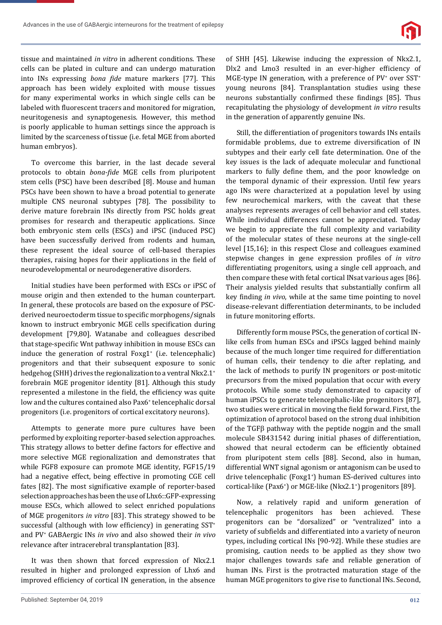

tissue and maintained *in vitro* in adherent conditions. These cells can be plated in culture and can undergo maturation into INs expressing *bona fide* mature markers [77]. This approach has been widely exploited with mouse tissues for many experimental works in which single cells can be labeled with fluorescent tracers and monitored for migration, neuritogenesis and synaptogenesis. However, this method is poorly applicable to human settings since the approach is limited by the scarceness of tissue (i.e. fetal MGE from aborted human embryos).

To overcome this barrier, in the last decade several protocols to obtain *bona-ϔide* MGE cells from pluripotent stem cells (PSC) have been described [8]. Mouse and human PSCs have been shown to have a broad potential to generate multiple CNS neuronal subtypes [78]. The possibility to derive mature forebrain INs directly from PSC holds great promises for research and therapeutic applications. Since both embryonic stem cells (ESCs) and iPSC (induced PSC) have been successfully derived from rodents and human, these represent the ideal source of cell-based therapies therapies, raising hopes for their applications in the field of neurodevelopmental or neurodegenerative disorders.

Initial studies have been performed with ESCs or iPSC of mouse origin and then extended to the human counterpart. In general, these protocols are based on the exposure of PSCderived neuroectoderm tissue to specific morphogens/signals known to instruct embryonic MGE cells specification during development [79,80]. Watanabe and colleagues described that stage-specific Wnt pathway inhibition in mouse ESCs can induce the generation of rostral Foxg1<sup>+</sup> (i.e. telencephalic) progenitors and that their subsequent exposure to sonic hedgehog (SHH) drives the regionalization to a ventral Nkx2.1+ forebrain MGE progenitor identity [81]. Although this study represented a milestone in the field, the efficiency was quite low and the cultures contained also Pax6<sup>+</sup> telencephalic dorsal progenitors (i.e. progenitors of cortical excitatory neurons).

Attempts to generate more pure cultures have been performed by exploiting reporter-based selection approaches. This strategy allows to better define factors for effective and more selective MGE regionalization and demonstrates that while FGF8 exposure can promote MGE identity, FGF15/19 had a negative effect, being effective in promoting CGE cell fates [82]. The most significative example of reporter-based selection approaches has been the use of Lhx6::GFP-expressing mouse ESCs, which allowed to select enriched populations of MGE progenitors *in vitro* [83]. This strategy showed to be successful (although with low efficiency) in generating  $SST^+$ and PV+ GABAergic INs *in vivo* and also showed their *in vivo* relevance after intracerebral transplantation [83].

It was then shown that forced expression of Nkx2.1 resulted in higher and prolonged expression of Lhx6 and improved efficiency of cortical IN generation, in the absence of SHH [45]. Likewise inducing the expression of Nkx2.1, Dlx2 and Lmo3 resulted in an ever-higher efficiency of MGE-type IN generation, with a preference of PV<sup>+</sup> over SST<sup>+</sup> young neurons [84]. Transplantation studies using these neurons substantially confirmed these findings [85]. Thus recapitulating the physiology of development *in vitro* results in the generation of apparently genuine INs.

Still, the differentiation of progenitors towards INs entails formidable problems, due to extreme diversification of IN subtypes and their early cell fate determination. One of the key issues is the lack of adequate molecular and functional markers to fully define them, and the poor knowledge on the temporal dynamic of their expression. Until few years ago INs were characterized at a population level by using few neurochemical markers, with the caveat that these analyses represents averages of cell behavior and cell states. While individual differences cannot be appreciated. Today we begin to appreciate the full complexity and variability of the molecular states of these neurons at the single-cell level [15,16]; in this respect Close and colleagues examined stepwise changes in gene expression profiles of *in vitro* differentiating progenitors, using a single cell approach, and then compare these with fetal cortical INsat various ages [86]. Their analysis yielded results that substantially confirm all key finding *in vivo*, while at the same time pointing to novel disease-relevant differentiation determinants, to be included in future monitoring efforts.

Differently form mouse PSCs, the generation of cortical INlike cells from human ESCs and iPSCs lagged behind mainly because of the much longer time required for differentiation of human cells, their tendency to die after replating, and the lack of methods to purify IN progenitors or post-mitotic precursors from the mixed population that occur with every protocols. While some study demonstrated to capacity of human iPSCs to generate telencephalic-like progenitors [87], two studies were critical in moving the field forward. First, the optimization of aprotocol based on the strong dual inhibition of the TGF $\beta$  pathway with the peptide noggin and the small molecule SB431542 during initial phases of differentiation, showed that neural ectoderm can be efficiently obtained from pluripotent stem cells [88]. Second, also in human, differential WNT signal agonism or antagonism can be used to drive telencephalic (Foxg1<sup>+</sup>) human ES-derived cultures into cortical-like (Pax6<sup>+</sup>) or MGE-like (Nkx2.1<sup>+</sup>) progenitors [89].

Now, a relatively rapid and uniform generation of telencephalic progenitors has been achieved. These progenitors can be "dorsalized" or "ventralized" into a variety of subfields and differentiated into a variety of neuron types, including cortical INs [90-92]. While these studies are promising, caution needs to be applied as they show two major challenges towards safe and reliable generation of human INs. First is the protracted maturation stage of the human MGE progenitors to give rise to functional INs. Second,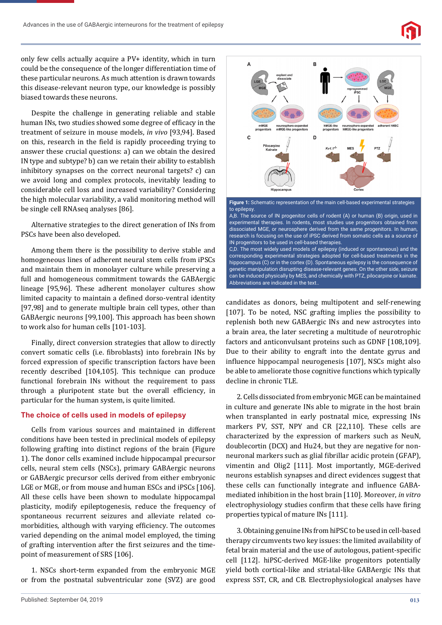

only few cells actually acquire a PV+ identity, which in turn could be the consequence of the longer differentiation time of these particular neurons. As much attention is drawn towards this disease-relevant neuron type, our knowledge is possibly biased towards these neurons.

Despite the challenge in generating reliable and stable human INs, two studies showed some degree of efficacy in the treatment of seizure in mouse models, *in vivo* [93,94]. Based on this, research in the field is rapidly proceeding trying to answer these crucial questions: a) can we obtain the desired IN type and subtype? b) can we retain their ability to establish inhibitory synapses on the correct neuronal targets? c) can we avoid long and complex protocols, inevitably leading to considerable cell loss and increased variability? Considering the high molecular variability, a valid monitoring method will be single cell RNAseq analyses [86].

Alternative strategies to the direct generation of INs from PSCs have been also developed.

Among them there is the possibility to derive stable and homogeneous lines of adherent neural stem cells from iPSCs and maintain them in monolayer culture while preserving a full and homogeneous commitment towards the GABAergic lineage [95,96]. These adherent monolayer cultures show limited capacity to maintain a defined dorso-ventral identity [97,98] and to generate multiple brain cell types, other than GABAergic neurons [99,100]. This approach has been shown to work also for human cells [101-103].

Finally, direct conversion strategies that allow to directly convert somatic cells (i.e. fibroblasts) into forebrain INs by forced expression of specific transcription factors have been recently described [104,105]. This technique can produce functional forebrain INs without the requirement to pass through a pluripotent state but the overall efficiency, in particular for the human system, is quite limited.

## **The choice of cells used in models of epilepsy**

Cells from various sources and maintained in different conditions have been tested in preclinical models of epilepsy following grafting into distinct regions of the brain (Figure 1). The donor cells examined include hippocampal precursor cells, neural stem cells (NSCs), primary GABAergic neurons or GABAergic precursor cells derived from either embryonic LGE or MGE, or from mouse and human ESCs and iPSCs [106]. All these cells have been shown to modulate hippocampal plasticity, modify epileptogenesis, reduce the frequency of spontaneous recurrent seizures and alleviate related comorbidities, although with varying efficiency. The outcomes varied depending on the animal model employed, the timing of grafting intervention after the first seizures and the timepoint of measurement of SRS [106].

1. NSCs short-term expanded from the embryonic MGE or from the postnatal subventricular zone (SVZ) are good





#### experimental therapies. In rodents, most studies use progenitors obtained from dissociated MGE, or neurosphere derived from the same progenitors. In human, research is focusing on the use of iPSC derived from somatic cells as a source of IN progenitors to be used in cell-based therapies. C,D. The most widely used models of epilepsy (induced or spontaneous) and the corresponding experimental strategies adopted for cell-based treatments in the hippocampus (C) or in the cortex (D). Spontaneous epilepsy is the consequence of genetic manipulation disrupting disease-relevant genes. On the other side, seizure can be induced physically by MES, and chemically with PTZ, pilocarpine or kainate.

Abbreviations are indicated in the text..

candidates as donors, being multipotent and self-renewing [107]. To be noted, NSC grafting implies the possibility to replenish both new GABAergic INs and new astrocytes into a brain area, the later secreting a multitude of neurotrophic factors and anticonvulsant proteins such as GDNF [108,109]. Due to their ability to engraft into the dentate gyrus and influence hippocampal neurogenesis [107], NSCs might also be able to ameliorate those cognitive functions which typically decline in chronic TLE.

2. Cells dissociated from embryonic MGE can be maintained in culture and generate INs able to migrate in the host brain when transplanted in early postnatal mice, expressing INs markers PV, SST, NPY and CR [22,110]. These cells are characterized by the expression of markers such as NeuN, doublecortin (DCX) and Hu24, but they are negative for nonneuronal markers such as glial fibrillar acidic protein (GFAP), vimentin and Olig2 [111]. Most importantly, MGE-derived neurons establish synapses and direct evidences suggest that these cells can functionally integrate and influence GABAmediated inhibition in the host brain [110]. Moreover, *in vitro* electrophysiology studies confirm that these cells have firing properties typical of mature INs [111].

3. Obtaining genuine INs from hiPSC to be used in cell-based therapy circumvents two key issues: the limited availability of fetal brain material and the use of autologous, patient-specific cell [112]. hiPSC-derived MGE-like progenitors potentially yield both cortical-like and striatal-like GABAergic INs that express SST, CR, and CB. Electrophysiological analyses have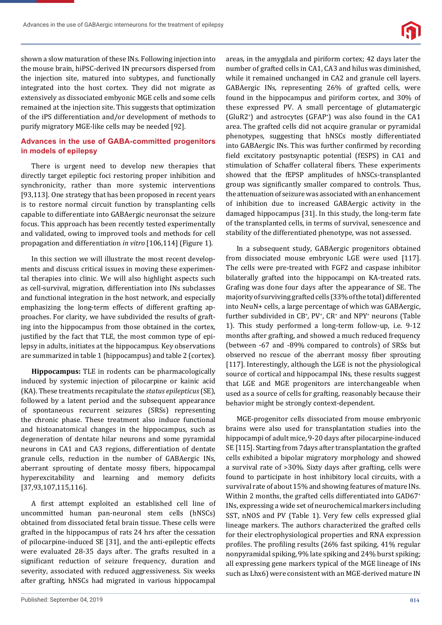

shown a slow maturation of these INs. Following injection into the mouse brain, hiPSC-derived IN precursors dispersed from the injection site, matured into subtypes, and functionally integrated into the host cortex. They did not migrate as extensively as dissociated embyonic MGE cells and some cells remained at the injection site. This suggests that optimization of the iPS differentiation and/or development of methods to purify migratory MGE-like cells may be needed [92].

## **Advances in the use of GABA-committed progenitors in models of epilepsy**

There is urgent need to develop new therapies that directly target epileptic foci restoring proper inhibition and synchronicity, rather than more systemic interventions [93,113]. One strategy that has been proposed in recent years is to restore normal circuit function by transplanting cells capable to differentiate into GABAergic neuronsat the seizure focus. This approach has been recently tested experimentally and validated, owing to improved tools and methods for cell propagation and differentiation *in vitro* [106,114] (Figure 1).

In this section we will illustrate the most recent developments and discuss critical issues in moving these experimental therapies into clinic. We will also highlight aspects such as cell-survival, migration, differentiation into INs subclasses and functional integration in the host network, and especially emphasizing the long-term effects of different grafting approaches. For clarity, we have subdivided the results of grafting into the hippocampus from those obtained in the cortex, justified by the fact that TLE, the most common type of epilepsy in adults, initiates at the hippocampus. Key observations are summarized in table 1 (hippocampus) and table 2 (cortex).

**Hippocampus:** TLE in rodents can be pharmacologically induced by systemic injection of pilocarpine or kainic acid (KA). These treatments recapitulate the *status epilepticus* (SE), followed by a latent period and the subsequent appearance of spontaneous recurrent seizures (SRSs) representing the chronic phase. These treatment also induce functional and histoanatomical changes in the hippocampus, such as degeneration of dentate hilar neurons and some pyramidal neurons in CA1 and CA3 regions, differentiation of dentate granule cells, reduction in the number of GABAergic INs, aberrant sprouting of dentate mossy fibers, hippocampal hyperexcitability and learning and memory deficits [37,93,107,115,116].

A first attempt exploited an established cell line of uncommitted human pan-neuronal stem cells (hNSCs) obtained from dissociated fetal brain tissue. These cells were grafted in the hippocampus of rats 24 hrs after the cessation of pilocarpine-induced SE [31], and the anti-epileptic effects were evaluated 28-35 days after. The grafts resulted in a significant reduction of seizure frequency, duration and severity, associated with reduced aggressiveness. Six weeks after grafting, hNSCs had migrated in various hippocampal

areas, in the amygdala and piriform cortex; 42 days later the number of grafted cells in CA1, CA3 and hilus was diminished, while it remained unchanged in CA2 and granule cell layers. GABAergic INs, representing 26% of grafted cells, were found in the hippocampus and piriform cortex, and 30% of these expressed PV. A small percentage of glutamatergic (GluR2+ ) and astrocytes (GFAP+ ) was also found in the CA1 area. The grafted cells did not acquire granular or pyramidal phenotypes, suggesting that hNSCs mostly differentiated into GABAergic INs. This was further confirmed by recording field excitatory postsynaptic potential (fESPS) in CA1 and stimulation of Schaffer collateral fibers. These experiments showed that the fEPSP amplitudes of hNSCs-transplanted group was significantly smaller compared to controls. Thus, the attenuation of seizure was associated with an enhancement of inhibition due to increased GABAergic activity in the damaged hippocampus [31]. In this study, the long-term fate of the transplanted cells, in terms of survival, senescence and stability of the differentiated phenotype, was not assessed.

In a subsequent study, GABAergic progenitors obtained from dissociated mouse embryonic LGE were used [117]. The cells were pre-treated with FGF2 and caspase inhibitor bilaterally grafted into the hippocampi on KA-treated rats. Grafing was done four days after the appearance of SE. The majority of surviving grafted cells (33% of the total) differented into NeuN+ cells, a large percentage of which was GABAergic, further subdivided in  $CB^*$ ,  $PV^*$ ,  $CR^*$  and  $NPY^*$  neurons (Table 1). This study performed a long-term follow-up, i.e. 9-12 months after grafting, and showed a much reduced frequency (between -67 and -89% compared to controls) of SRSs but observed no rescue of the aberrant mossy fiber sprouting [117]. Interestingly, although the LGE is not the physiological source of cortical and hippocampal INs, these results suggest that LGE and MGE progenitors are interchangeable when used as a source of cells for grafting, reasonably because their behavior might be strongly context-dependent.

MGE-progenitor cells dissociated from mouse embryonic brains were also used for transplantation studies into the hippocampi of adult mice, 9-20 days after pilocarpine-induced SE [115]. Starting from 7days after transplantation the grafted cells exhibited a bipolar migratory morphology and showed a survival rate of >30%. Sixty days after grafting, cells were found to participate in host inhibitory local circuits, with a survival rate of about 15% and showing features of mature INs. Within 2 months, the grafted cells differentiated into GAD67<sup>+</sup> INs, expressing a wide set of neurochemical markers including SST, nNOS and PV (Table 1). Very few cells expressed glial lineage markers. The authors characterized the grafted cells for their electrophysiological properties and RNA expression profiles. The profiling results (26% fast spiking, 41% regular nonpyramidal spiking, 9% late spiking and 24% burst spiking; all expressing gene markers typical of the MGE lineage of INs such as Lhx6) were consistent with an MGE-derived mature IN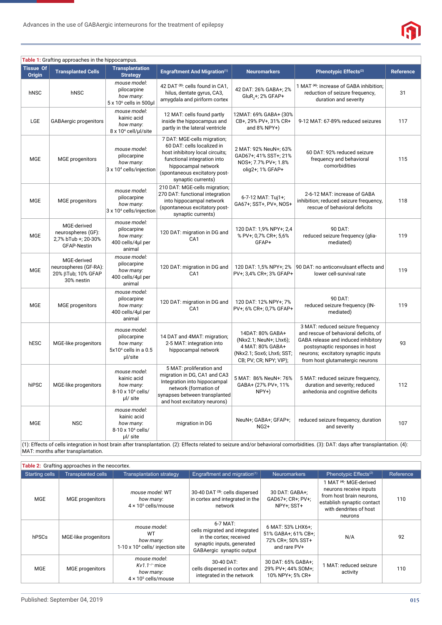

| Table 1: Grafting approaches in the hippocampus. |                                                                                |                                                                                       |                                                                                                                                                                                                           |                                                                                                                       |                                                                                                                                                                                                                                           |           |  |  |
|--------------------------------------------------|--------------------------------------------------------------------------------|---------------------------------------------------------------------------------------|-----------------------------------------------------------------------------------------------------------------------------------------------------------------------------------------------------------|-----------------------------------------------------------------------------------------------------------------------|-------------------------------------------------------------------------------------------------------------------------------------------------------------------------------------------------------------------------------------------|-----------|--|--|
| <b>Tissue Of</b><br><b>Origin</b>                | <b>Transplanted Cells</b>                                                      | <b>Transplantation</b><br><b>Strategy</b>                                             | <b>Engraftment And Migration</b> <sup>(1)</sup>                                                                                                                                                           | <b>Neuromarkers</b>                                                                                                   | Phenotypic Effects <sup>(2)</sup>                                                                                                                                                                                                         | Reference |  |  |
| hNSC                                             | hNSC                                                                           | mouse model:<br>pilocarpine<br>how many:<br>5 x 10 <sup>6</sup> cells in 500µl        | 42 DAT (3): cells found in CA1,<br>hilus, dentate gyrus, CA3,<br>amygdala and piriform cortex                                                                                                             | 42 DAT: 26% GABA+; 2%<br>GluR <sub>2</sub> +; 2% GFAP+                                                                | 1 MAT (4): increase of GABA inhibition;<br>reduction of seizure frequency,<br>duration and severity                                                                                                                                       | 31        |  |  |
| LGE                                              | <b>GABAergic progenitors</b>                                                   | mouse model:<br>kainic acid<br>how many:<br>8 x 10 <sup>4</sup> cell/µl/site          | 12 MAT: cells found partly<br>inside the hippocampus and<br>partly in the lateral ventricle                                                                                                               | 12MAT: 69% GABA+ (30%<br>CB+, 29% PV+, 31% CR+<br>and $8\%$ NPY+)                                                     | 9-12 MAT: 67-89% reduced seizures                                                                                                                                                                                                         | 117       |  |  |
| MGE                                              | <b>MGE</b> progenitors                                                         | mouse model:<br>pilocarpine<br>how many:<br>3 x 10 <sup>4</sup> cells/injection       | 7 DAT: MGE-cells migration;<br>60 DAT: cells localized in<br>host inhibitory local circuits;<br>functional integration into<br>hippocampal network<br>(spontaneous excitatory post-<br>synaptic currents) | 2 MAT: 92% NeuN+; 63%<br>GAD67+; 41% SST+; 21%<br>NOS+; 7.7% PV+; 1.8%<br>olig2+; 1% GFAP+                            | 60 DAT: 92% reduced seizure<br>frequency and behavioral<br>comorbidities                                                                                                                                                                  | 115       |  |  |
| MGE                                              | <b>MGE</b> progenitors                                                         | mouse model:<br>pilocarpine<br>how many:<br>3 x 10 <sup>4</sup> cells/injection       | 210 DAT: MGE-cells migration;<br>270 DAT: functional integration<br>into hippocampal network<br>(spontaneous excitatory post-<br>synaptic currents)                                                       | 6-7-12 MAT: Tuj1+;<br>GA67+; SST+, PV+, NOS+                                                                          | 2-6-12 MAT: increase of GABA<br>inhibition; reduced seizure frequency,<br>rescue of behavioral deficits                                                                                                                                   | 118       |  |  |
| <b>MGE</b>                                       | MGE-derived<br>neurospheres (GF):<br>2,7% bTub +; 20-30%<br><b>GFAP-Nestin</b> | mouse model:<br>pilocarpine<br>how many:<br>400 cells/4ul per<br>animal               | 120 DAT: migration in DG and<br>CA1                                                                                                                                                                       | 120 DAT: 1,9% NPY+; 2,4<br>% PV+; 0,7% CR+; 5,6%<br>GFAP+                                                             | 90 DAT:<br>reduced seizure frequency (glia-<br>mediated)                                                                                                                                                                                  | 119       |  |  |
| <b>MGE</b>                                       | MGE-derived<br>neurospheres (GF-RA):<br>20% βTub; 10% GFAP<br>30% nestin       | mouse model:<br>pilocarpine<br>how many:<br>400 cells/4µl per<br>animal               | 120 DAT: migration in DG and<br>CA <sub>1</sub>                                                                                                                                                           | 120 DAT: 1,5% NPY+; 2%<br>PV+; 3,4% CR+; 3% GFAP+                                                                     | 90 DAT: no anticonvulsant effects and<br>lower cell-survival rate                                                                                                                                                                         | 119       |  |  |
| MGE                                              | <b>MGE</b> progenitors                                                         | mouse model:<br>pilocarpine<br>how many:<br>400 cells/4µl per<br>animal               | 120 DAT: migration in DG and<br>CA <sub>1</sub>                                                                                                                                                           | 120 DAT: 12% NPY+; 7%<br>PV+; 6% CR+; 0,7% GFAP+                                                                      | 90 DAT:<br>reduced seizure frequency (IN-<br>mediated)                                                                                                                                                                                    | 119       |  |  |
| hESC                                             | MGE-like progenitors                                                           | mouse model:<br>pilocarpine<br>how many:<br>$5x104$ cells in a 0.5<br>µl/site         | 14 DAT and 4MAT: migration;<br>2-5 MAT: integration into<br>hippocampal network                                                                                                                           | 14DAT: 80% GABA+<br>(Nkx2.1; NeuN+; Lhx6);<br>4 MAT: 80% GABA+<br>(Nkx2.1; Sox6; Lhx6; SST;<br>CB; PV; CR; NPY; VIP); | 3 MAT: reduced seizure frequency<br>and rescue of behavioral deficits, of<br>GABA release and induced inhibitory<br>postsynaptic responses in host<br>neurons; excitatory synaptic inputs<br>from host glutamatergic neurons              | 93        |  |  |
| hiPSC                                            | MGE-like progenitors                                                           | mouse model:<br>kainic acid<br>how many:<br>8-10 x 10 <sup>4</sup> cells/<br>µl/ site | 5 MAT: proliferation and<br>migration in DG, CA1 and CA3<br>Integration into hippocampal<br>network (formation of<br>synapses between transplanted<br>and host excitatory neurons)                        | 5 MAT: 86% NeuN+: 76%<br>GABA+ (27% PV+, 11%<br>$NPY+)$                                                               | 5 MAT: reduced seizure frequency,<br>duration and severity; reduced<br>anhedonia and cognitive deficits                                                                                                                                   | 112       |  |  |
| MGE                                              | <b>NSC</b>                                                                     | mouse model:<br>kainic acid<br>how many:<br>8-10 x 10 <sup>4</sup> cells/<br>µl/ site | migration in DG                                                                                                                                                                                           | NeuN+; GABA+; GFAP+;<br>$NG2+$                                                                                        | reduced seizure frequency, duration<br>and severity<br>(1): Effects of cells integration in host brain after transplantation. (2): Effects related to seizure and/or behavioral comorbidities. (3): DAT: days after transplantation. (4): | 107       |  |  |

MAT: months after transplantation.

| Table 2: Grafting approaches in the neocortex. |                           |                                                                                 |                                                                                                                                   |                                                                               |                                                                                                                                                 |                  |  |  |
|------------------------------------------------|---------------------------|---------------------------------------------------------------------------------|-----------------------------------------------------------------------------------------------------------------------------------|-------------------------------------------------------------------------------|-------------------------------------------------------------------------------------------------------------------------------------------------|------------------|--|--|
| <b>Starting cells</b>                          | <b>Transplanted cells</b> | <b>Transplantation strategy</b>                                                 | Engraftment and migration(1)                                                                                                      | <b>Neuromarkers</b>                                                           | Phenotypic Effects <sup>(2)</sup>                                                                                                               | <b>Reference</b> |  |  |
| MGE                                            | <b>MGE</b> progenitors    | mouse model: WT<br>how many:<br>$4 \times 10^5$ cells/mouse                     | 30-40 DAT (3): cells dispersed<br>in cortex and integrated in the<br>network                                                      | 30 DAT: GABA+;<br>GAD67+; CR+; PV+;<br>NPY+: SST+                             | 1 MAT (4): MGE-derived<br>neurons receive inputs<br>from host brain neurons.<br>establish synaptic contact<br>with dendrites of host<br>neurons | 110              |  |  |
| hPSCs                                          | MGE-like progenitors      | mouse model:<br>WT<br>how many:<br>1-10 x 10 <sup>4</sup> cells/ injection site | $6-7$ MAT:<br>cells migrated and integrated<br>in the cortex; received<br>synaptic inputs, generated<br>GABAergic synaptic output | 6 MAT: 53% LHX6+;<br>51% GABA+; 61% CB+;<br>72% CR+; 50% SST+<br>and rare PV+ | N/A                                                                                                                                             | 92               |  |  |
| <b>MGE</b>                                     | <b>MGE</b> progenitors    | mouse model:<br>$Kv1.1^{-/-}$ mice<br>how many:<br>$4 \times 10^5$ cells/mouse  | 30-40 DAT:<br>cells dispersed in cortex and<br>integrated in the network                                                          | 30 DAT: 65% GABA+:<br>29% PV+; 44% SOM+;<br>10% NPY+: 5% CR+                  | 1 MAT: reduced seizure<br>activity                                                                                                              | 110              |  |  |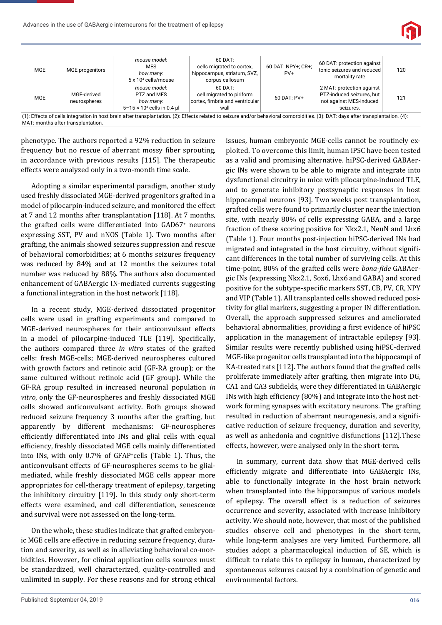

| MGE | MGE progenitors                    | mouse model:<br>MES<br>how many:<br>5 x 10 <sup>4</sup> cells/mouse                                                                                                                   | $60$ DAT:<br>cells migrated to cortex,<br>hippocampus, striatum, SVZ,<br>corpus callosum | 60 DAT: NPY+; CR+;<br>$PV +$ | 60 DAT: protection against<br>tonic seizures and reduced<br>mortality rate                     | 120 |
|-----|------------------------------------|---------------------------------------------------------------------------------------------------------------------------------------------------------------------------------------|------------------------------------------------------------------------------------------|------------------------------|------------------------------------------------------------------------------------------------|-----|
| MGE | MGE-derived<br>neurospheres        | mouse model:<br>PTZ and MES<br>how many:<br>$5 - 15 \times 10^4$ cells in 0.4 µ                                                                                                       | $60$ DAT:<br>cell migrated to piriform<br>cortex, fimbria and ventricular<br>wall        | 60 DAT: PV+                  | 2 MAT: protection against<br>PTZ-induced seizures, but<br>not against MES-induced<br>seizures. | 121 |
|     | MAT: months after transplantation. | $(1)$ : Effects of cells integration in host brain after transplantation. (2): Effects related to seizure and/or behavioral comorbidities. (3): DAT: days after transplantation. (4): |                                                                                          |                              |                                                                                                |     |

phenotype. The authors reported a 92% reduction in seizure frequency but no rescue of aberrant mossy fiber sprouting, in accordance with previous results [115]. The therapeutic effects were analyzed only in a two-month time scale.

Adopting a similar experimental paradigm, another study used freshly dissociated MGE-derived progenitors grafted in a model of pilocarpin-induced seizure, and monitored the effect at 7 and 12 months after transplantation [118]. At 7 months, the grafted cells were differentiated into GAD67+ neurons expressing SST, PV and nNOS (Table 1). Two months after grafting, the animals showed seizures suppression and rescue of behavioral comorbidities; at 6 months seizures frequency was reduced by 84% and at 12 months the seizures total number was reduced by 88%. The authors also documented enhancement of GABAergic IN-mediated currents suggesting a functional integration in the host network [118].

In a recent study, MGE-derived dissociated progenitor cells were used in grafting experiments and compared to MGE-derived neurospheres for their anticonvulsant effects in a model of pilocarpine-induced TLE [119]. Specifically, the authors compared three *in vitro* states of the grafted cells: fresh MGE-cells; MGE-derived neurospheres cultured with growth factors and retinoic acid (GF-RA group); or the same cultured without retinoic acid (GF group). While the GF-RA group resulted in increased neuronal population *in vitro*, only the GF-neurospheres and freshly dissociated MGE cells showed anticonvulsant activity. Both groups showed reduced seizure frequency 3 months after the grafting, but apparently by different mechanisms: GF-neurospheres efficiently differentiated into INs and glial cells with equal efficiency, freshly dissociated MGE cells mainly differentiated into INs, with only 0.7% of GFAP+ cells (Table 1). Thus, the anticonvulsant effects of GF-neurospheres seems to be glialmediated, while freshly dissociated MGE cells appear more appropriates for cell-therapy treatment of epilepsy, targeting the inhibitory circuitry [119]. In this study only short-term effects were examined, and cell differentiation, senescence and survival were not assessed on the long-term.

On the whole, these studies indicate that grafted embryonic MGE cells are effective in reducing seizure frequency, duration and severity, as well as in alleviating behavioral co-morbidities. However, for clinical application cells sources must be standardized, well characterized, quality-controlled and unlimited in supply. For these reasons and for strong ethical issues, human embryonic MGE-cells cannot be routinely exploited. To overcome this limit, human iPSC have been tested as a valid and promising alternative. hiPSC-derived GABAergic INs were shown to be able to migrate and integrate into dysfunctional circuitry in mice with pilocarpine-induced TLE, and to generate inhibitory postsynaptic responses in host hippocampal neurons [93]. Two weeks post transplantation, grafted cells were found to primarily cluster near the injection site, with nearly 80% of cells expressing GABA, and a large fraction of these scoring positive for Nkx2.1, NeuN and Lhx6 (Table 1). Four months post-injection hiPSC-derived INs had migrated and integrated in the host circuitry, without significant differences in the total number of surviving cells. At this time-point, 80% of the grafted cells were *bona-ϔide* GABAergic INs (expressing Nkx2.1, Sox6, Lhx6 and GABA) and scored positive for the subtype-specific markers SST, CB, PV, CR, NPY and VIP (Table 1). All transplanted cells showed reduced positivity for glial markers, suggesting a proper IN differentiation. Overall, the approach suppressed seizures and ameliorated behavioral abnormalities, providing a first evidence of hiPSC application in the management of intractable epilepsy [93]. Similar results were recently published using hiPSC-derived MGE-like progenitor cells transplanted into the hippocampi of KA-treated rats [112]. The authors found that the grafted cells proliferate immediately after grafting, then migrate into DG, CA1 and CA3 subfields, were they differentiated in GABAergic INs with high efficiency (80%) and integrate into the host network forming synapses with excitatory neurons. The grafting resulted in reduction of aberrant neurogenesis, and a significative reduction of seizure frequency, duration and severity, as well as anhedonia and cognitive disfunctions [112].These effects, however, were analysed only in the short-term.

In summary, current data show that MGE-derived cells efficiently migrate and differentiate into GABAergic INs, able to functionally integrate in the host brain network when transplanted into the hippocampus of various models of epilepsy. The overall effect is a reduction of seizures occurrence and severity, associated with increase inhibitory activity. We should note, however, that most of the published studies observe cell and phenotypes in the short-term, while long-term analyses are very limited. Furthermore, all studies adopt a pharmacological induction of SE, which is difficult to relate this to epilepsy in human, characterized by spontaneous seizures caused by a combination of genetic and environmental factors.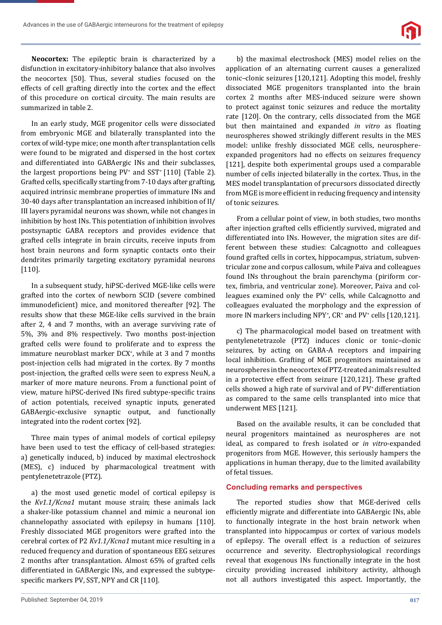**Neocortex:** The epileptic brain is characterized by a disfunction in excitatory-inhibitory balance that also involves the neocortex [50]. Thus, several studies focused on the effects of cell grafting directly into the cortex and the effect of this procedure on cortical circuity. The main results are summarized in table 2.

In an early study, MGE progenitor cells were dissociated from embryonic MGE and bilaterally transplanted into the cortex of wild-type mice; one month after transplantation cells were found to be migrated and dispersed in the host cortex and differentiated into GABAergic INs and their subclasses, the largest proportions being  $PV^*$  and  $SST^*[110]$  (Table 2). Grafted cells, specifically starting from 7-10 days after grafting, acquired intrinsic membrane properties of immature INs and 30-40 days after transplantation an increased inhibition of II/ III layers pyramidal neurons was shown, while not changes in inhibition by host INs. This potentiation of inhibition involves postsynaptic GABA receptors and provides evidence that grafted cells integrate in brain circuits, receive inputs from host brain neurons and form synaptic contacts onto their dendrites primarily targeting excitatory pyramidal neurons [110].

In a subsequent study, hiPSC-derived MGE-like cells were grafted into the cortex of newborn SCID (severe combined immunodeficient) mice, and monitored thereafter [92]. The results show that these MGE-like cells survived in the brain after 2, 4 and 7 months, with an average surviving rate of 5%, 3% and 8% respectively. Two months post-injection grafted cells were found to proliferate and to express the immature neuroblast marker DCX<sup>+</sup>, while at 3 and 7 months post-injection cells had migrated in the cortex. By 7 months post-injection, the grafted cells were seen to express NeuN, a marker of more mature neurons. From a functional point of view, mature hiPSC-derived INs fired subtype-specific trains of action potentials, received synaptic inputs, generated GABAergic-exclusive synaptic output, and functionally integrated into the rodent cortex [92].

Three main types of animal models of cortical epilepsy have been used to test the efficacy of cell-based strategies: a) genetically induced, b) induced by maximal electroshock (MES), c) induced by pharmacological treatment with pentylenetetrazole (PTZ).

a) the most used genetic model of cortical epilepsy is the *Kv1.1/Kcna1* mutant mouse strain; these animals lack a shaker-like potassium channel and mimic a neuronal ion channelopathy associated with epilepsy in humans [110]. Freshly dissociated MGE progenitors were grafted into the cerebral cortex of P2 *Kv1.1/Kcna1* mutant mice resulting in a reduced frequency and duration of spontaneous EEG seizures 2 months after transplantation. Almost 65% of grafted cells differentiated in GABAergic INs, and expressed the subtypespecific markers PV, SST, NPY and CR [110].

b) the maximal electroshock (MES) model relies on the application of an alternating current causes a generalized tonic–clonic seizures [120,121]. Adopting this model, freshly dissociated MGE progenitors transplanted into the brain cortex 2 months after MES-induced seizure were shown to protect against tonic seizures and reduce the mortality rate [120]. On the contrary, cells dissociated from the MGE but then maintained and expanded *in vitro* as floating neurospheres showed strikingly different results in the MES model: unlike freshly dissociated MGE cells, neurosphereexpanded progenitors had no effects on seizures frequency [121], despite both experimental groups used a comparable number of cells injected bilaterally in the cortex. Thus, in the MES model transplantation of precursors dissociated directly from MGE is more efficient in reducing frequency and intensity of tonic seizures.

From a cellular point of view, in both studies, two months after injection grafted cells efficiently survived, migrated and differentiated into INs. However, the migration sites are different between these studies: Calcagnotto and colleagues found grafted cells in cortex, hippocampus, striatum, subventricular zone and corpus callosum, while Paiva and colleagues found INs throughout the brain parenchyma (piriform cortex, fimbria, and ventricular zone). Moreover, Paiva and colleagues examined only the PV<sup>+</sup> cells, while Calcagnotto and colleagues evaluated the morphology and the expression of more IN markers including NPY<sup>+</sup>, CR<sup>+</sup> and PV<sup>+</sup> cells [120,121].

c) The pharmacological model based on treatment with pentylenetetrazole (PTZ) induces clonic or tonic–clonic seizures, by acting on GABA-A receptors and impairing local inhibition. Grafting of MGE progenitors maintained as neurospheres in the neocortex of PTZ-treated animals resulted in a protective effect from seizure [120,121]. These grafted cells showed a high rate of survival and of PV+ differentiation as compared to the same cells transplanted into mice that underwent MES [121].

Based on the available results, it can be concluded that neural progenitors maintained as neurospheres are not ideal, as compared to fresh isolated or *in vitro*-expanded progenitors from MGE. However, this seriously hampers the applications in human therapy, due to the limited availability of fetal tissues.

## **Concluding remarks and perspectives**

The reported studies show that MGE-derived cells efficiently migrate and differentiate into GABAergic INs, able to functionally integrate in the host brain network when transplanted into hippocampus or cortex of various models of epilepsy. The overall effect is a reduction of seizures occurrence and severity. Electrophysiological recordings reveal that exogenous INs functionally integrate in the host circuity providing increased inhibitory activity, although not all authors investigated this aspect. Importantly, the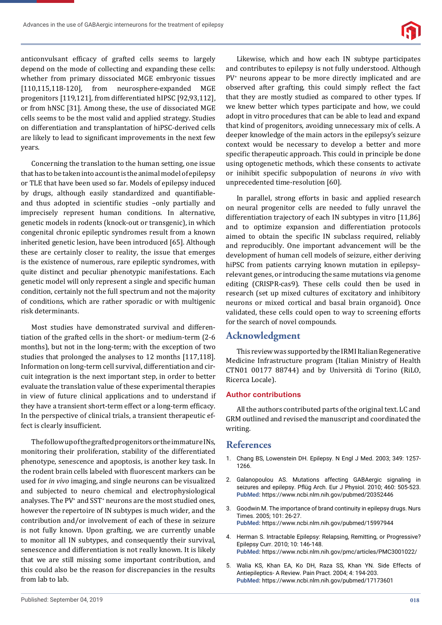anticonvulsant efficacy of grafted cells seems to largely depend on the mode of collecting and expanding these cells: whether from primary dissociated MGE embryonic tissues [110,115,118-120], from neurosphere-expanded MGE progenitors [119,121], from differentiated hIPSC [92,93,112], or from hNSC [31]. Among these, the use of dissociated MGE cells seems to be the most valid and applied strategy. Studies on differentiation and transplantation of hiPSC-derived cells are likely to lead to significant improvements in the next few years.

Concerning the translation to the human setting, one issue that has to be taken into account is the animal model of epilepsy or TLE that have been used so far. Models of epilepsy induced by drugs, although easily standardized and quantifiableand thus adopted in scientific studies -only partially and imprecisely represent human conditions. In alternative, genetic models in rodents (knock-out or transgenic), in which congenital chronic epileptic syndromes result from a known inherited genetic lesion, have been introduced [65]. Although these are certainly closer to reality, the issue that emerges is the existence of numerous, rare epileptic syndromes, with quite distinct and peculiar phenotypic manifestations. Each genetic model will only represent a single and specific human condition, certainly not the full spectrum and not the majority of conditions, which are rather sporadic or with multigenic risk determinants.

Most studies have demonstrated survival and differentiation of the grafted cells in the short- or medium-term (2-6 months), but not in the long-term; with the exception of two studies that prolonged the analyses to 12 months [117,118]. Information on long-term cell survival, differentiation and circuit integration is the next important step, in order to better evaluate the translation value of these experimental therapies in view of future clinical applications and to understand if they have a transient short-term effect or a long-term efficacy. In the perspective of clinical trials, a transient therapeutic effect is clearly insufficient.

The follow up of the grafted progenitors or the immature INs, monitoring their proliferation, stability of the differentiated phenotype, senescence and apoptosis, is another key task. In the rodent brain cells labeled with fluorescent markers can be used for *in vivo* imaging, and single neurons can be visualized and subjected to neuro chemical and electrophysiological analyses. The PV<sup>+</sup> and SST<sup>+</sup> neurons are the most studied ones, however the repertoire of IN subtypes is much wider, and the contribution and/or involvement of each of these in seizure is not fully known. Upon grafting, we are currently unable to monitor all IN subtypes, and consequently their survival, senescence and differentiation is not really known. It is likely that we are still missing some important contribution, and this could also be the reason for discrepancies in the results from lab to lab.

Likewise, which and how each IN subtype participates and contributes to epilepsy is not fully understood. Although PV<sup>+</sup> neurons appear to be more directly implicated and are observed after grafting, this could simply reflect the fact that they are mostly studied as compared to other types. If we knew better which types participate and how, we could adopt in vitro procedures that can be able to lead and expand that kind of progenitors, avoiding unnecessary mix of cells. A deeper knowledge of the main actors in the epilepsy's seizure context would be necessary to develop a better and more specific therapeutic approach. This could in principle be done using optogenetic methods, which these consents to activate or inihibit specific subpopulation of neurons *in vivo* with unprecedented time-resolution [60].

In parallel, strong efforts in basic and applied research on neural progenitor cells are needed to fully unravel the differentiation trajectory of each IN subtypes in vitro [11,86] and to optimize expansion and differentiation protocols aimed to obtain the specific IN subclass required, reliably and reproducibly. One important advancement will be the development of human cell models of seizure, either deriving hiPSC from patients carrying known mutation in epilepsyrelevant genes, or introducing the same mutations via genome editing (CRISPR-cas9). These cells could then be used in research (set up mixed cultures of excitatory and inhibitory neurons or mixed cortical and basal brain organoid). Once validated, these cells could open to way to screening efforts for the search of novel compounds.

## **Acknowledgment**

This review was supported by the IRMI Italian Regenerative Medicine Infrastructure program (Italian Ministry of Health CTN01 00177 88744) and by Università di Torino (RiLO, Ricerca Locale).

#### **Author contributions**

All the authors contributed parts of the original text. LC and GRM outlined and revised the manuscript and coordinated the writing.

## **References**

- 1. Chang BS, Lowenstein DH. Epilepsy. N Engl J Med. 2003; 349: 1257- 1266.
- 2. Galanopoulou AS. Mutations affecting GABAergic signaling in seizures and epilepsy. Pflüg Arch. Eur J Physiol. 2010; 460: 505-523. **PubMed:** https://www.ncbi.nlm.nih.gov/pubmed/20352446
- 3. Goodwin M. The importance of brand continuity in epilepsy drugs. Nurs Times. 2005; 101: 26-27. **PubMed:** https://www.ncbi.nlm.nih.gov/pubmed/15997944
- 4. Herman S. Intractable Epilepsy: Relapsing, Remitting, or Progressive? Epilepsy Curr. 2010; 10: 146-148. **PubMed:** https://www.ncbi.nlm.nih.gov/pmc/articles/PMC3001022/
- 5. Walia KS, Khan EA, Ko DH, Raza SS, Khan YN. Side Effects of Antiepileptics- A Review. Pain Pract. 2004; 4: 194-203. **PubMed:** https://www.ncbi.nlm.nih.gov/pubmed/17173601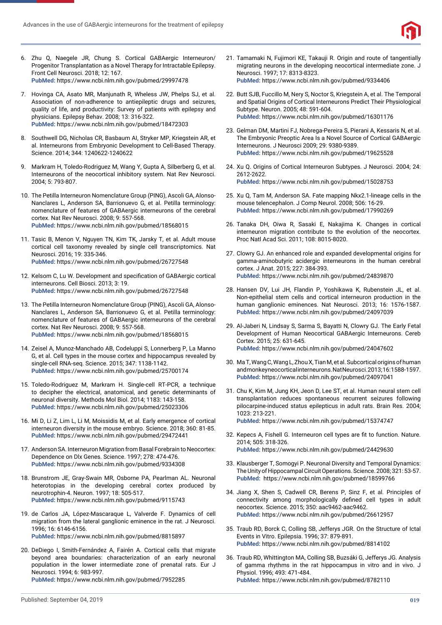

- 6. Zhu Q, Naegele JR, Chung S. Cortical GABAergic Interneuron/ Progenitor Transplantation as a Novel Therapy for Intractable Epilepsy. Front Cell Neurosci. 2018; 12: 167. **PubMed:** https://www.ncbi.nlm.nih.gov/pubmed/29997478
- 7. Hovinga CA, Asato MR, Manjunath R, Wheless JW, Phelps SJ, et al. Association of non-adherence to antiepileptic drugs and seizures, quality of life, and productivity: Survey of patients with epilepsy and physicians. Epilepsy Behav. 2008; 13: 316-322. **PubMed:** https://www.ncbi.nlm.nih.gov/pubmed/18472303
- 8. Southwell DG, Nicholas CR, Basbaum AI, Stryker MP, Kriegstein AR, et al. Interneurons from Embryonic Development to Cell-Based Therapy. Science. 2014; 344: 1240622-1240622
- 9. Markram H, Toledo-Rodriguez M, Wang Y, Gupta A, Silberberg G, et al. Interneurons of the neocortical inhibitory system. Nat Rev Neurosci. 2004; 5: 793-807.
- 10. The Petilla Interneuron Nomenclature Group (PING), Ascoli GA, Alonso-Nanclares L, Anderson SA, Barrionuevo G, et al. Petilla terminology: nomenclature of features of GABAergic interneurons of the cerebral cortex. Nat Rev Neurosci. 2008; 9: 557-568. **PubMed:** https://www.ncbi.nlm.nih.gov/pubmed/18568015
- 11. Tasic B, Menon V, Nguyen TN, Kim TK, Jarsky T, et al. Adult mouse cortical cell taxonomy revealed by single cell transcriptomics. Nat Neurosci. 2016; 19: 335-346. **PubMed:** https://www.ncbi.nlm.nih.gov/pubmed/26727548
- 12. Kelsom C, Lu W. Development and specification of GABAergic cortical interneurons. Cell Biosci. 2013; 3: 19. **PubMed:** https://www.ncbi.nlm.nih.gov/pubmed/26727548
- 13. The Petilla Interneuron Nomenclature Group (PING), Ascoli GA, Alonso-Nanclares L, Anderson SA, Barrionuevo G, et al. Petilla terminology: nomenclature of features of GABAergic interneurons of the cerebral cortex. Nat Rev Neurosci. 2008; 9: 557-568. **PubMed:** https://www.ncbi.nlm.nih.gov/pubmed/18568015
- 14. Zeisel A, Munoz-Manchado AB, Codeluppi S, Lonnerberg P, La Manno G, et al. Cell types in the mouse cortex and hippocampus revealed by single-cell RNA-seq. Science. 2015; 347: 1138-1142. **PubMed:** https://www.ncbi.nlm.nih.gov/pubmed/25700174
- 15. Toledo-Rodriguez M, Markram H. Single-cell RT-PCR, a technique to decipher the electrical, anatomical, and genetic determinants of neuronal diversity. Methods Mol Biol. 2014; 1183: 143-158. **PubMed:** https://www.ncbi.nlm.nih.gov/pubmed/25023306
- 16. Mi D, Li Z, Lim L, Li M, Moissidis M, et al. Early emergence of cortical interneuron diversity in the mouse embryo. Science. 2018; 360: 81-85. **PubMed:** https://www.ncbi.nlm.nih.gov/pubmed/29472441
- 17. Anderson SA. Interneuron Migration from Basal Forebrain to Neocortex: Dependence on Dlx Genes. Science. 1997; 278: 474-476. **PubMed:** https://www.ncbi.nlm.nih.gov/pubmed/9334308
- 18. Brunstrom JE, Gray-Swain MR, Osborne PA, Pearlman AL. Neuronal heterotopias in the developing cerebral cortex produced by neurotrophin-4. Neuron. 1997; 18: 505-517. **PubMed:** https://www.ncbi.nlm.nih.gov/pubmed/9115743
- 19. de Carlos JA, López-Mascaraque L, Valverde F. Dynamics of cell migration from the lateral ganglionic eminence in the rat. J Neurosci. 1996; 16: 6146-6156. **PubMed:** https://www.ncbi.nlm.nih.gov/pubmed/8815897
- 20. DeDiego I, Smith-Fernández A, Fairén A. Cortical cells that migrate beyond area boundaries: characterization of an early neuronal population in the lower intermediate zone of prenatal rats. Eur J Neurosci. 1994; 6: 983-997. **PubMed:** https://www.ncbi.nlm.nih.gov/pubmed/7952285
- 21. Tamamaki N, Fujimori KE, Takauji R. Origin and route of tangentially migrating neurons in the developing neocortical intermediate zone. J Neurosci. 1997; 17: 8313-8323. **PubMed:** https://www.ncbi.nlm.nih.gov/pubmed/9334406
- 22. Butt SJB, Fuccillo M, Nery S, Noctor S, Kriegstein A, et al. The Temporal and Spatial Origins of Cortical Interneurons Predict Their Physiological Subtype. Neuron. 2005; 48: 591-604. **PubMed:** https://www.ncbi.nlm.nih.gov/pubmed/16301176
- 23. Gelman DM, Martini FJ, Nobrega-Pereira S, Pierani A, Kessaris N, et al. The Embryonic Preoptic Area Is a Novel Source of Cortical GABAergic Interneurons. J Neurosci 2009; 29: 9380-9389. **PubMed:** https://www.ncbi.nlm.nih.gov/pubmed/19625528
- 24. Xu Q. Origins of Cortical Interneuron Subtypes. J Neurosci. 2004; 24: 2612-2622. **PubMed:** https://www.ncbi.nlm.nih.gov/pubmed/15028753
- 25. Xu Q, Tam M, Anderson SA. Fate mapping Nkx2.1-lineage cells in the mouse telencephalon. J Comp Neurol. 2008; 506: 16-29. **PubMed:** https://www.ncbi.nlm.nih.gov/pubmed/17990269
- 26. Tanaka DH, Oiwa R, Sasaki E, Nakajima K. Changes in cortical interneuron migration contribute to the evolution of the neocortex. Proc Natl Acad Sci. 2011; 108: 8015-8020.
- 27. Clowry GJ. An enhanced role and expanded developmental origins for gamma-aminobutyric acidergic interneurons in the human cerebral cortex. J Anat. 2015; 227: 384-393. **PubMed:** https://www.ncbi.nlm.nih.gov/pubmed/24839870
- 28. Hansen DV, Lui JH, Flandin P, Yoshikawa K, Rubenstein JL, et al. Non-epithelial stem cells and cortical interneuron production in the human ganglionic eminences. Nat Neurosci. 2013; 16: 1576-1587. **PubMed:** https://www.ncbi.nlm.nih.gov/pubmed/24097039
- 29. Al-Jaberi N, Lindsay S, Sarma S, Bayatti N, Clowry GJ. The Early Fetal Development of Human Neocortical GABAergic Interneurons. Cereb Cortex. 2015; 25: 631-645. **PubMed:** https://www.ncbi.nlm.nih.gov/pubmed/24047602
- 30. Ma T, Wang C, Wang L, Zhou X, Tian M, et al. Subcortical origins of human and monkey neocortical interneurons. Nat Neurosci. 2013; 16: 1588-1597. **PubMed:** https://www.ncbi.nlm.nih.gov/pubmed/24097041
- 31. Chu K, Kim M, Jung KH, Jeon D, Lee ST, et al. Human neural stem cell transplantation reduces spontaneous recurrent seizures following pilocarpine-induced status epilepticus in adult rats. Brain Res. 2004; 1023: 213-221.

**PubMed:** https://www.ncbi.nlm.nih.gov/pubmed/15374747

- 32. Kepecs A, Fishell G. Interneuron cell types are fit to function. Nature. 2014; 505: 318-326. **PubMed:** https://www.ncbi.nlm.nih.gov/pubmed/24429630
- 33. Klausberger T, Somogyi P. Neuronal Diversity and Temporal Dynamics: The Unity of Hippocampal Circuit Operations. Science. 2008; 321: 53-57. **PubMed:** https://www.ncbi.nlm.nih.gov/pubmed/18599766
- 34. Jiang X, Shen S, Cadwell CR, Berens P, Sinz F, et al. Principles of connectivity among morphologically defined cell types in adult neocortex. Science. 2015; 350: aac9462-aac9462. **PubMed:** https://www.ncbi.nlm.nih.gov/pubmed/26612957
- 35. Traub RD, Borck C, Colling SB, Jefferys JGR. On the Structure of Ictal Events in Vitro. Epilepsia. 1996; 37: 879-891. **PubMed:** https://www.ncbi.nlm.nih.gov/pubmed/8814102
- 36. Traub RD, Whittington MA, Colling SB, Buzsáki G, Jefferys JG. Analysis of gamma rhythms in the rat hippocampus in vitro and in vivo. J Physiol. 1996; 493: 471-484. **PubMed:** https://www.ncbi.nlm.nih.gov/pubmed/8782110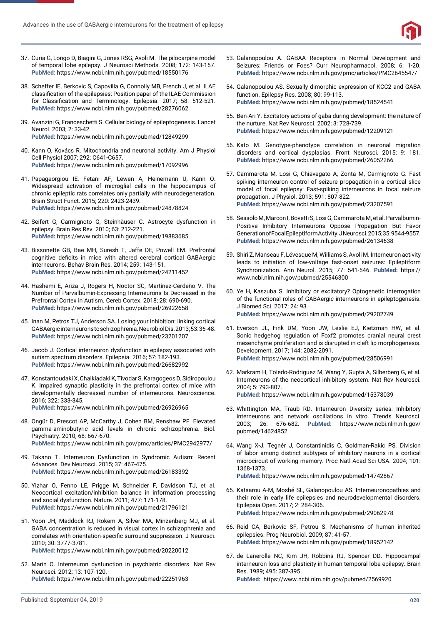

- 37. Curia G, Longo D, Biagini G, Jones RSG, Avoli M. The pilocarpine model of temporal lobe epilepsy. J Neurosci Methods. 2008; 172: 143-157. **PubMed:** https://www.ncbi.nlm.nih.gov/pubmed/18550176
- 38. Scheffer IE, Berkovic S, Capovilla G, Connolly MB, French J, et al. ILAE classification of the epilepsies: Position paper of the ILAE Commission for Classification and Terminology. Epilepsia. 2017; 58: 512-521. **PubMed:** https://www.ncbi.nlm.nih.gov/pubmed/28276062
- 39. Avanzini G, Franceschetti S. Cellular biology of epileptogenesis. Lancet Neurol. 2003; 2: 33-42. **PubMed:** https://www.ncbi.nlm.nih.gov/pubmed/12849299
- 40. Kann O, Kovács R. Mitochondria and neuronal activity. Am J Physiol Cell Physiol 2007; 292: C641-C657. **PubMed:** https://www.ncbi.nlm.nih.gov/pubmed/17092996
- 41. Papageorgiou IE, Fetani AF, Lewen A, Heinemann U, Kann O. Widespread activation of microglial cells in the hippocampus of chronic epileptic rats correlates only partially with neurodegeneration. Brain Struct Funct. 2015; 220: 2423-2439. **PubMed:** https://www.ncbi.nlm.nih.gov/pubmed/24878824
- 42. Seifert G, Carmignoto G, Steinhäuser C. Astrocyte dysfunction in epilepsy. Brain Res Rev. 2010; 63: 212-221. **PubMed:** https://www.ncbi.nlm.nih.gov/pubmed/19883685
- 43. Bissonette GB, Bae MH, Suresh T, Jaffe DE, Powell EM. Prefrontal cognitive deficits in mice with altered cerebral cortical GABAergic interneurons. Behav Brain Res. 2014; 259: 143-151. **PubMed:** https://www.ncbi.nlm.nih.gov/pubmed/24211452
- 44. Hashemi E, Ariza J, Rogers H, Noctor SC, Martínez-Cerdeño V. The Number of Parvalbumin-Expressing Interneurons Is Decreased in the Prefrontal Cortex in Autism. Cereb Cortex. 2018; 28: 690-690. **PubMed:** https://www.ncbi.nlm.nih.gov/pubmed/26922658
- 45. Inan M, Petros TJ, Anderson SA. Losing your inhibition: linking cortical GABAergic interneurons to schizophrenia. Neurobiol Dis. 2013; 53: 36-48. **PubMed:** https://www.ncbi.nlm.nih.gov/pubmed/23201207
- 46. Jacob J. Cortical interneuron dysfunction in epilepsy associated with autism spectrum disorders. Epilepsia. 2016; 57: 182-193. **PubMed:** https://www.ncbi.nlm.nih.gov/pubmed/26682992
- 47. Konstantoudaki X, Chalkiadaki K, Tivodar S, Karagogeos D, Sidiropoulou K. Impaired synaptic plasticity in the prefrontal cortex of mice with developmentally decreased number of interneurons. Neuroscience. 2016; 322: 333-345. **PubMed:** https://www.ncbi.nlm.nih.gov/pubmed/26926965
- 48. Ongür D, Prescot AP, McCarthy J, Cohen BM, Renshaw PF. Elevated gamma-aminobutyric acid levels in chronic schizophrenia. Biol. Psychiatry. 2010; 68: 667-670. **PubMed:** https://www.ncbi.nlm.nih.gov/pmc/articles/PMC2942977/
- 49. Takano T. Interneuron Dysfunction in Syndromic Autism: Recent Advances. Dev Neurosci. 2015; 37: 467-475. **PubMed:** https://www.ncbi.nlm.nih.gov/pubmed/26183392
- 50. Yizhar O, Fenno LE, Prigge M, Schneider F, Davidson TJ, et al. Neocortical excitation/inhibition balance in information processing and social dysfunction. Nature. 2011; 477: 171-178. **PubMed:** https://www.ncbi.nlm.nih.gov/pubmed/21796121
- 51. Yoon JH, Maddock RJ, Rokem A, Silver MA, Minzenberg MJ, et al. GABA concentration is reduced in visual cortex in schizophrenia and correlates with orientation-specific surround suppression. J Neurosci. 2010; 30: 3777-3781. **PubMed:** https://www.ncbi.nlm.nih.gov/pubmed/20220012
- 52. Marín O. Interneuron dysfunction in psychiatric disorders. Nat Rev Neurosci. 2012; 13: 107-120. **PubMed:** https://www.ncbi.nlm.nih.gov/pubmed/22251963
- 53. Galanopoulou A. GABAA Receptors in Normal Development and Seizures: Friends or Foes? Curr Neuropharmacol. 2008; 6: 1-20. **PubMed:** https://www.ncbi.nlm.nih.gov/pmc/articles/PMC2645547/
- 54. Galanopoulou AS. Sexually dimorphic expression of KCC2 and GABA function. Epilepsy Res. 2008; 80: 99-113. **PubMed:** https://www.ncbi.nlm.nih.gov/pubmed/18524541
- 55. Ben-Ari Y. Excitatory actions of gaba during development: the nature of the nurture. Nat Rev Neurosci. 2002; 3: 728-739. **PubMed:** https://www.ncbi.nlm.nih.gov/pubmed/12209121
- 56. Kato M. Genotype-phenotype correlation in neuronal migration disorders and cortical dysplasias. Front Neurosci. 2015; 9: 181. **PubMed:** https://www.ncbi.nlm.nih.gov/pubmed/26052266
- 57. Cammarota M, Losi G, Chiavegato A, Zonta M, Carmignoto G. Fast spiking interneuron control of seizure propagation in a cortical slice model of focal epilepsy: Fast-spiking interneurons in focal seizure propagation. J Physiol. 2013; 591: 807-822. **PubMed:** https://www.ncbi.nlm.nih.gov/pubmed/23207591
- 58. Sessolo M, Marcon I, Bovetti S, Losi G, Cammarota M, et al. Parvalbumin-Positive Inhibitory Interneurons Oppose Propagation But Favor Generation of Focal Epileptiform Activity. J Neurosci. 2015; 35: 9544-9557. **PubMed:** https://www.ncbi.nlm.nih.gov/pubmed/26134638
- 59. Shiri Z, Manseau F, Lévesque M, Williams S, Avoli M. Interneuron activity leads to initiation of low-voltage fast-onset seizures: Epileptiform Synchronization. Ann Neurol. 2015; 77: 541-546. **PubMed:** https:// www.ncbi.nlm.nih.gov/pubmed/25546300
- 60. Ye H, Kaszuba S. Inhibitory or excitatory? Optogenetic interrogation of the functional roles of GABAergic interneurons in epileptogenesis. J Biomed Sci. 2017; 24: 93. **PubMed:** https://www.ncbi.nlm.nih.gov/pubmed/29202749
- 61. Everson JL, Fink DM, Yoon JW, Leslie EJ, Kietzman HW, et al. Sonic hedgehog regulation of Foxf2 promotes cranial neural crest mesenchyme proliferation and is disrupted in cleft lip morphogenesis. Development. 2017; 144: 2082-2091. **PubMed:** https://www.ncbi.nlm.nih.gov/pubmed/28506991
- 62. Markram H, Toledo-Rodriguez M, Wang Y, Gupta A, Silberberg G, et al. Interneurons of the neocortical inhibitory system. Nat Rev Neurosci. 2004; 5: 793-807. **PubMed:** https://www.ncbi.nlm.nih.gov/pubmed/15378039
- 63. Whittington MA, Traub RD. Interneuron Diversity series: Inhibitory interneurons and network oscillations in vitro. Trends Neurosci. 2003; 26: 676-682. **PubMed:** https://www.ncbi.nlm.nih.gov/ pubmed/14624852
- 64. Wang X-J, Tegnér J, Constantinidis C, Goldman-Rakic PS. Division of labor among distinct subtypes of inhibitory neurons in a cortical microcircuit of working memory. Proc Natl Acad Sci USA. 2004; 101: 1368-1373. **PubMed:** https://www.ncbi.nlm.nih.gov/pubmed/14742867
- 65. Katsarou A-M, Moshé SL, Galanopoulou AS. Interneuronopathies and their role in early life epilepsies and neurodevelopmental disorders. Epilepsia Open. 2017; 2: 284-306. **PubMed:** https://www.ncbi.nlm.nih.gov/pubmed/29062978
- 66. Reid CA, Berkovic SF, Petrou S. Mechanisms of human inherited epilepsies. Prog Neurobiol. 2009; 87: 41-57. **PubMed:** https://www.ncbi.nlm.nih.gov/pubmed/18952142
- 67. de Lanerolle NC, Kim JH, Robbins RJ, Spencer DD. Hippocampal interneuron loss and plasticity in human temporal lobe epilepsy. Brain Res. 1989; 495: 387-395. **PubMed:** https://www.ncbi.nlm.nih.gov/pubmed/2569920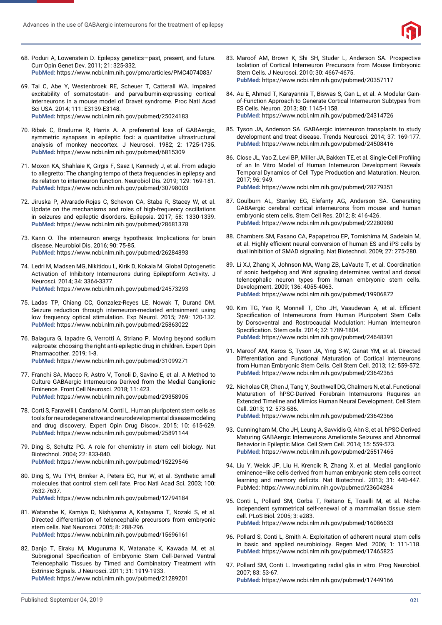

- 68. Poduri A, Lowenstein D. Epilepsy genetics—past, present, and future. Curr Opin Genet Dev. 2011; 21: 325-332. **PubMed:** https://www.ncbi.nlm.nih.gov/pmc/articles/PMC4074083/
- 69. Tai C, Abe Y, Westenbroek RE, Scheuer T, Catterall WA. Impaired excitability of somatostatin- and parvalbumin-expressing cortical interneurons in a mouse model of Dravet syndrome. Proc Natl Acad Sci USA. 2014; 111: E3139-E3148.

**PubMed:** https://www.ncbi.nlm.nih.gov/pubmed/25024183

- 70. Ribak C, Bradurne R, Harris A. A preferential loss of GABAergic, symmetric synapses in epileptic foci: a quantitative ultrastructural analysis of monkey neocortex. J Neurosci. 1982; 2: 1725-1735. **PubMed:** https://www.ncbi.nlm.nih.gov/pubmed/6815309
- 71. Moxon KA, Shahlaie K, Girgis F, Saez I, Kennedy J, et al. From adagio to allegretto: The changing tempo of theta frequencies in epilepsy and its relation to interneuron function. Neurobiol Dis. 2019; 129: 169-181. **PubMed:** https://www.ncbi.nlm.nih.gov/pubmed/30798003
- 72. Jiruska P, Alvarado-Rojas C, Schevon CA, Staba R, Stacey W, et al. Update on the mechanisms and roles of high-frequency oscillations in seizures and epileptic disorders. Epilepsia. 2017; 58: 1330-1339. **PubMed:** https://www.ncbi.nlm.nih.gov/pubmed/28681378
- 73. Kann O. The interneuron energy hypothesis: Implications for brain disease. Neurobiol Dis. 2016; 90: 75-85. **PubMed:** https://www.ncbi.nlm.nih.gov/pubmed/26284893
- 74. Ledri M, Madsen MG, Nikitidou L, Kirik D, Kokaia M. Global Optogenetic Activation of Inhibitory Interneurons during Epileptiform Activity. J Neurosci. 2014; 34: 3364-3377. **PubMed:** https://www.ncbi.nlm.nih.gov/pubmed/24573293
- 75. Ladas TP, Chiang CC, Gonzalez-Reyes LE, Nowak T, Durand DM. Seizure reduction through interneuron-mediated entrainment using low frequency optical stimulation. Exp Neurol. 2015; 269: 120-132. **PubMed:** https://www.ncbi.nlm.nih.gov/pubmed/25863022
- 76. Balagura G, Iapadre G, Verrotti A, Striano P. Moving beyond sodium valproate: choosing the right anti-epileptic drug in children. Expert Opin Pharmacother. 2019; 1-8. **PubMed:** https://www.ncbi.nlm.nih.gov/pubmed/31099271
- 77. Franchi SA, Macco R, Astro V, Tonoli D, Savino E, et al. A Method to Culture GABAergic Interneurons Derived from the Medial Ganglionic Eminence. Front Cell Neurosci. 2018; 11: 423. **PubMed:** https://www.ncbi.nlm.nih.gov/pubmed/29358905
- 78. Corti S, Faravelli I, Cardano M, Conti L. Human pluripotent stem cells as tools for neurodegenerative and neurodevelopmental disease modeling and drug discovery. Expert Opin Drug Discov. 2015; 10: 615-629. **PubMed:** https://www.ncbi.nlm.nih.gov/pubmed/25891144
- 79. Ding S, Schultz PG. A role for chemistry in stem cell biology. Nat Biotechnol. 2004; 22: 833-840. **PubMed:** https://www.ncbi.nlm.nih.gov/pubmed/15229546
- 80. Ding S, Wu TYH, Brinker A, Peters EC, Hur W, et al. Synthetic small molecules that control stem cell fate. Proc Natl Acad Sci. 2003; 100: 7632-7637. **PubMed:** https://www.ncbi.nlm.nih.gov/pubmed/12794184
- 81. Watanabe K, Kamiya D, Nishiyama A, Katayama T, Nozaki S, et al. Directed differentiation of telencephalic precursors from embryonic stem cells. Nat Neurosci. 2005; 8: 288-296. **PubMed:** https://www.ncbi.nlm.nih.gov/pubmed/15696161
- 82. Danjo T, Eiraku M, Muguruma K, Watanabe K, Kawada M, et al. Subregional Specification of Embryonic Stem Cell-Derived Ventral Telencephalic Tissues by Timed and Combinatory Treatment with Extrinsic Signals. J Neurosci. 2011; 31: 1919-1933. **PubMed:** https://www.ncbi.nlm.nih.gov/pubmed/21289201
- 83. Maroof AM, Brown K, Shi SH, Studer L, Anderson SA. Prospective Isolation of Cortical Interneuron Precursors from Mouse Embryonic Stem Cells. J Neurosci. 2010; 30: 4667-4675. **PubMed:** https://www.ncbi.nlm.nih.gov/pubmed/20357117
- 84. Au E, Ahmed T, Karayannis T, Biswas S, Gan L, et al. A Modular Gainof-Function Approach to Generate Cortical Interneuron Subtypes from ES Cells. Neuron. 2013; 80: 1145-1158. **PubMed:** https://www.ncbi.nlm.nih.gov/pubmed/24314726
- 85. Tyson JA, Anderson SA. GABAergic interneuron transplants to study development and treat disease. Trends Neurosci. 2014; 37: 169-177. **PubMed:** https://www.ncbi.nlm.nih.gov/pubmed/24508416
- 86. Close JL, Yao Z, Levi BP, Miller JA, Bakken TE, et al. Single-Cell Profiling of an In Vitro Model of Human Interneuron Development Reveals Temporal Dynamics of Cell Type Production and Maturation. Neuron. 2017; 96: 949. **PubMed:** https://www.ncbi.nlm.nih.gov/pubmed/28279351
- 87. Goulburn AL, Stanley EG, Elefanty AG, Anderson SA. Generating GABAergic cerebral cortical interneurons from mouse and human embryonic stem cells. Stem Cell Res. 2012; 8: 416-426. **PubMed:** https://www.ncbi.nlm.nih.gov/pubmed/22280980
- 88. Chambers SM, Fasano CA, Papapetrou EP, Tomishima M, Sadelain M, et al. Highly efficient neural conversion of human ES and iPS cells by dual inhibition of SMAD signaling. Nat Biotechnol. 2009; 27: 275-280.
- 89. Li XJ, Zhang X, Johnson MA, Wang ZB, LaVaute T, et al. Coordination of sonic hedgehog and Wnt signaling determines ventral and dorsal telencephalic neuron types from human embryonic stem cells. Development. 2009; 136: 4055-4063. **PubMed:** https://www.ncbi.nlm.nih.gov/pubmed/19906872
- 90. Kim TG, Yao R, Monnell T, Cho JH, Vasudevan A, et al. Efficient Specification of Interneurons from Human Pluripotent Stem Cells by Dorsoventral and Rostrocaudal Modulation: Human Interneuron Specification. Stem cells. 2014; 32: 1789-1804. **PubMed:** https://www.ncbi.nlm.nih.gov/pubmed/24648391
- 91. Maroof AM, Keros S, Tyson JA, Ying S-W, Ganat YM, et al. Directed Differentiation and Functional Maturation of Cortical Interneurons from Human Embryonic Stem Cells. Cell Stem Cell. 2013; 12: 559-572. **PubMed:** https://www.ncbi.nlm.nih.gov/pubmed/23642365
- 92. Nicholas CR, Chen J, Tang Y, Southwell DG, Chalmers N, et al. Functional Maturation of hPSC-Derived Forebrain Interneurons Requires an Extended Timeline and Mimics Human Neural Development. Cell Stem Cell. 2013; 12: 573-586. **PubMed:** https://www.ncbi.nlm.nih.gov/pubmed/23642366
- 93. Cunningham M, Cho JH, Leung A, Savvidis G, Ahn S, et al. hPSC-Derived Maturing GABAergic Interneurons Ameliorate Seizures and Abnormal Behavior in Epileptic Mice. Cell Stem Cell. 2014; 15: 559-573. **PubMed:** https://www.ncbi.nlm.nih.gov/pubmed/25517465
- 94. Liu Y, Weick JP, Liu H, Krencik R, Zhang X, et al. Medial ganglionic eminence–like cells derived from human embryonic stem cells correct learning and memory deficits. Nat Biotechnol. 2013; 31: 440-447. PubMed: https://www.ncbi.nlm.nih.gov/pubmed/23604284
- 95. Conti L, Pollard SM, Gorba T, Reitano E, Toselli M, et al. Nicheindependent symmetrical self-renewal of a mammalian tissue stem cell. PLoS Biol. 2005; 3: e283. **PubMed:** https://www.ncbi.nlm.nih.gov/pubmed/16086633
- 96. Pollard S, Conti L, Smith A. Exploitation of adherent neural stem cells in basic and applied neurobiology. Regen Med. 2006; 1: 111-118. **PubMed:** https://www.ncbi.nlm.nih.gov/pubmed/17465825
- 97. Pollard SM, Conti L. Investigating radial glia in vitro. Prog Neurobiol. 2007; 83: 53-67. **PubMed:** https://www.ncbi.nlm.nih.gov/pubmed/17449166

Published: September 04, 2019 **021**